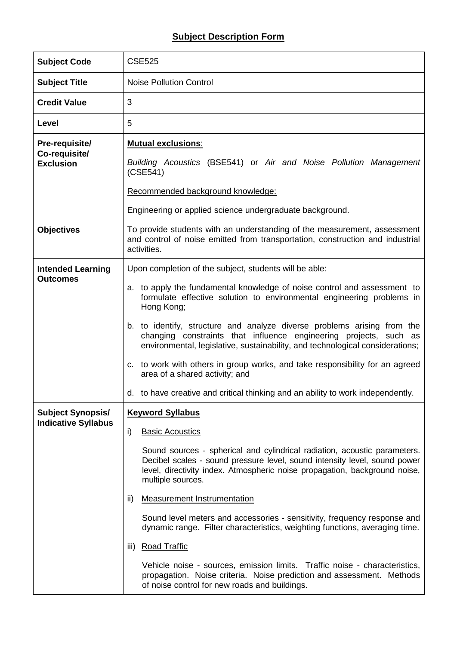## **Subject Description Form**

| <b>Subject Code</b>                                    | <b>CSE525</b>                                                                                                                                                                                                                                                                                                                                                                                                                                                                                                                                                                                                                                                                                                                                                       |
|--------------------------------------------------------|---------------------------------------------------------------------------------------------------------------------------------------------------------------------------------------------------------------------------------------------------------------------------------------------------------------------------------------------------------------------------------------------------------------------------------------------------------------------------------------------------------------------------------------------------------------------------------------------------------------------------------------------------------------------------------------------------------------------------------------------------------------------|
| <b>Subject Title</b>                                   | <b>Noise Pollution Control</b>                                                                                                                                                                                                                                                                                                                                                                                                                                                                                                                                                                                                                                                                                                                                      |
| <b>Credit Value</b>                                    | 3                                                                                                                                                                                                                                                                                                                                                                                                                                                                                                                                                                                                                                                                                                                                                                   |
| Level                                                  | 5                                                                                                                                                                                                                                                                                                                                                                                                                                                                                                                                                                                                                                                                                                                                                                   |
| Pre-requisite/<br>Co-requisite/<br><b>Exclusion</b>    | <b>Mutual exclusions:</b><br>Building Acoustics (BSE541) or Air and Noise Pollution Management<br>(CSE541)<br>Recommended background knowledge:<br>Engineering or applied science undergraduate background.                                                                                                                                                                                                                                                                                                                                                                                                                                                                                                                                                         |
| <b>Objectives</b>                                      | To provide students with an understanding of the measurement, assessment<br>and control of noise emitted from transportation, construction and industrial<br>activities.                                                                                                                                                                                                                                                                                                                                                                                                                                                                                                                                                                                            |
| <b>Intended Learning</b><br><b>Outcomes</b>            | Upon completion of the subject, students will be able:<br>a. to apply the fundamental knowledge of noise control and assessment to<br>formulate effective solution to environmental engineering problems in<br>Hong Kong;<br>b. to identify, structure and analyze diverse problems arising from the<br>changing constraints that influence engineering projects, such as<br>environmental, legislative, sustainability, and technological considerations;<br>c. to work with others in group works, and take responsibility for an agreed<br>area of a shared activity; and<br>d. to have creative and critical thinking and an ability to work independently.                                                                                                     |
| <b>Subject Synopsis/</b><br><b>Indicative Syllabus</b> | <b>Keyword Syllabus</b><br>i)<br><b>Basic Acoustics</b><br>Sound sources - spherical and cylindrical radiation, acoustic parameters.<br>Decibel scales - sound pressure level, sound intensity level, sound power<br>level, directivity index. Atmospheric noise propagation, background noise,<br>multiple sources.<br><b>Measurement Instrumentation</b><br>ii)<br>Sound level meters and accessories - sensitivity, frequency response and<br>dynamic range. Filter characteristics, weighting functions, averaging time.<br><b>Road Traffic</b><br>iii)<br>Vehicle noise - sources, emission limits. Traffic noise - characteristics,<br>propagation. Noise criteria. Noise prediction and assessment. Methods<br>of noise control for new roads and buildings. |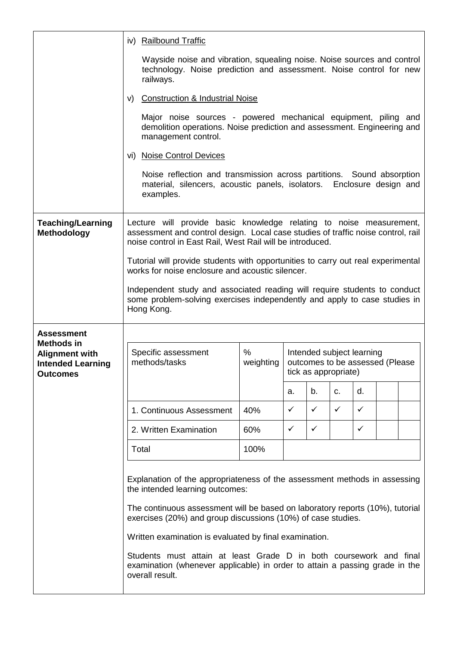|                                                                                           |       | iv) Railbound Traffic                                                                                                                                                                                                                                                                                                   |                |              |                                                                                      |              |              |  |  |
|-------------------------------------------------------------------------------------------|-------|-------------------------------------------------------------------------------------------------------------------------------------------------------------------------------------------------------------------------------------------------------------------------------------------------------------------------|----------------|--------------|--------------------------------------------------------------------------------------|--------------|--------------|--|--|
|                                                                                           |       | Wayside noise and vibration, squealing noise. Noise sources and control<br>technology. Noise prediction and assessment. Noise control for new<br>railways.                                                                                                                                                              |                |              |                                                                                      |              |              |  |  |
|                                                                                           | V)    | <b>Construction &amp; Industrial Noise</b>                                                                                                                                                                                                                                                                              |                |              |                                                                                      |              |              |  |  |
|                                                                                           |       | Major noise sources - powered mechanical equipment, piling and<br>demolition operations. Noise prediction and assessment. Engineering and<br>management control.                                                                                                                                                        |                |              |                                                                                      |              |              |  |  |
|                                                                                           |       | vi) Noise Control Devices                                                                                                                                                                                                                                                                                               |                |              |                                                                                      |              |              |  |  |
|                                                                                           |       | Noise reflection and transmission across partitions. Sound absorption<br>material, silencers, acoustic panels, isolators. Enclosure design and<br>examples.                                                                                                                                                             |                |              |                                                                                      |              |              |  |  |
| <b>Teaching/Learning</b><br>Methodology                                                   |       | Lecture will provide basic knowledge relating to noise measurement,<br>assessment and control design. Local case studies of traffic noise control, rail<br>noise control in East Rail, West Rail will be introduced.                                                                                                    |                |              |                                                                                      |              |              |  |  |
|                                                                                           |       | Tutorial will provide students with opportunities to carry out real experimental<br>works for noise enclosure and acoustic silencer.                                                                                                                                                                                    |                |              |                                                                                      |              |              |  |  |
|                                                                                           |       | Independent study and associated reading will require students to conduct<br>some problem-solving exercises independently and apply to case studies in<br>Hong Kong.                                                                                                                                                    |                |              |                                                                                      |              |              |  |  |
| <b>Assessment</b>                                                                         |       |                                                                                                                                                                                                                                                                                                                         |                |              |                                                                                      |              |              |  |  |
| <b>Methods in</b><br><b>Alignment with</b><br><b>Intended Learning</b><br><b>Outcomes</b> |       | Specific assessment<br>methods/tasks                                                                                                                                                                                                                                                                                    | %<br>weighting |              | Intended subject learning<br>outcomes to be assessed (Please<br>tick as appropriate) |              |              |  |  |
|                                                                                           |       |                                                                                                                                                                                                                                                                                                                         |                | а.           | b.                                                                                   | C.           | d.           |  |  |
|                                                                                           |       | 1. Continuous Assessment                                                                                                                                                                                                                                                                                                | 40%            | $\checkmark$ | $\checkmark$                                                                         | $\checkmark$ | $\checkmark$ |  |  |
|                                                                                           |       | 2. Written Examination                                                                                                                                                                                                                                                                                                  | 60%            | ✓            | ✓                                                                                    |              | $\checkmark$ |  |  |
|                                                                                           | Total |                                                                                                                                                                                                                                                                                                                         | 100%           |              |                                                                                      |              |              |  |  |
|                                                                                           |       | Explanation of the appropriateness of the assessment methods in assessing<br>the intended learning outcomes:<br>The continuous assessment will be based on laboratory reports (10%), tutorial<br>exercises (20%) and group discussions (10%) of case studies.<br>Written examination is evaluated by final examination. |                |              |                                                                                      |              |              |  |  |